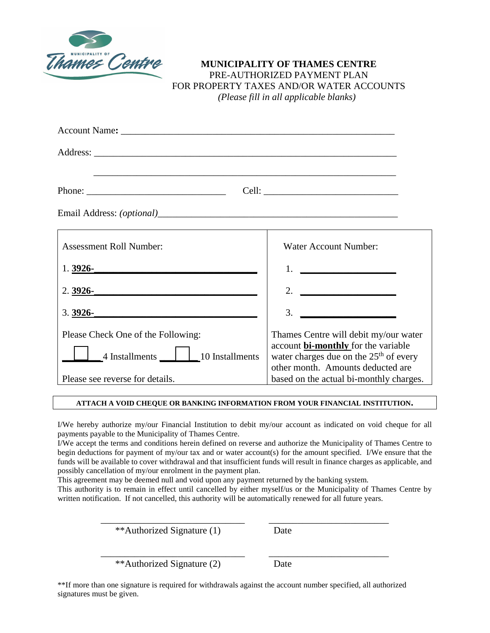

### **MUNICIPALITY OF THAMES CENTRE** PRE-AUTHORIZED PAYMENT PLAN FOR PROPERTY TAXES AND/OR WATER ACCOUNTS *(Please fill in all applicable blanks)*

| <b>Assessment Roll Number:</b>     | <b>Water Account Number:</b>                                                        |
|------------------------------------|-------------------------------------------------------------------------------------|
| $1.3926 -$                         | 1. <u>__________________</u>                                                        |
| 2. $3926 -$                        | 2. $\qquad \qquad$                                                                  |
| $3.3926 -$                         | 3.                                                                                  |
| Please Check One of the Following: | Thames Centre will debit my/our water<br>account <b>bi-monthly</b> for the variable |
| 4 Installments 10 Installments     | water charges due on the $25th$ of every<br>other month. Amounts deducted are       |
| Please see reverse for details.    | based on the actual bi-monthly charges.                                             |

#### **ATTACH A VOID CHEQUE OR BANKING INFORMATION FROM YOUR FINANCIAL INSTITUTION.**

I/We hereby authorize my/our Financial Institution to debit my/our account as indicated on void cheque for all payments payable to the Municipality of Thames Centre.

I/We accept the terms and conditions herein defined on reverse and authorize the Municipality of Thames Centre to begin deductions for payment of my/our tax and or water account(s) for the amount specified. I/We ensure that the funds will be available to cover withdrawal and that insufficient funds will result in finance charges as applicable, and possibly cancellation of my/our enrolment in the payment plan.

This agreement may be deemed null and void upon any payment returned by the banking system.

This authority is to remain in effect until cancelled by either myself/us or the Municipality of Thames Centre by written notification. If not cancelled, this authority will be automatically renewed for all future years.

\_\_\_\_\_\_\_\_\_\_\_\_\_\_\_\_\_\_\_\_\_\_\_\_\_\_\_\_\_\_ \_\_\_\_\_\_\_\_\_\_\_\_\_\_\_\_\_\_\_\_\_\_\_\_\_

\_\_\_\_\_\_\_\_\_\_\_\_\_\_\_\_\_\_\_\_\_\_\_\_\_\_\_\_\_\_ \_\_\_\_\_\_\_\_\_\_\_\_\_\_\_\_\_\_\_\_\_\_\_\_\_

\*\*Authorized Signature (1) Date

\*\*Authorized Signature (2) Date

\*\*If more than one signature is required for withdrawals against the account number specified, all authorized signatures must be given.